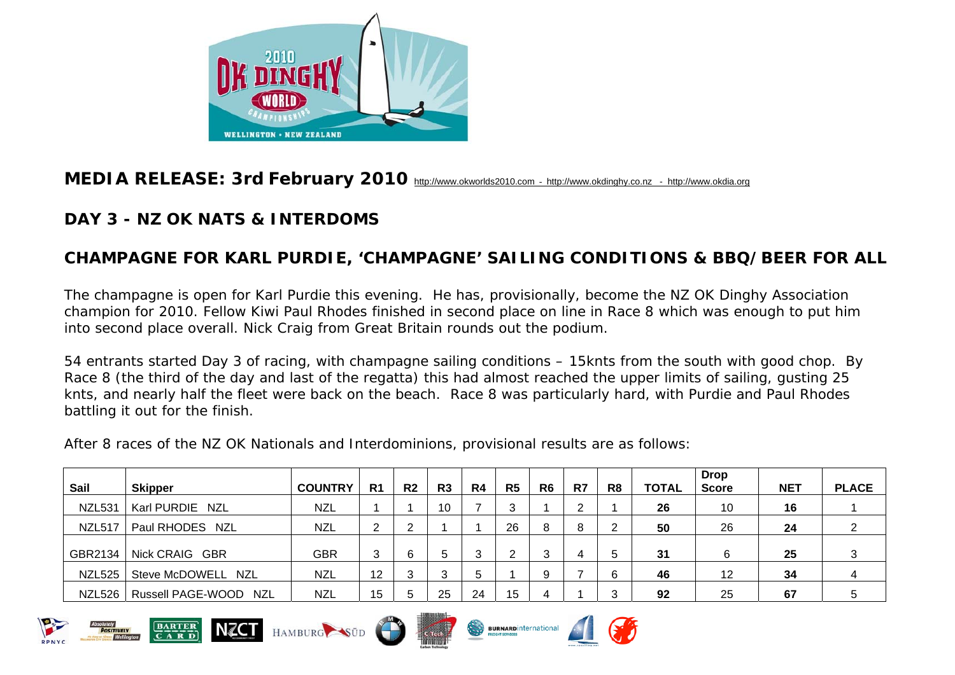

## **MEDIA RELEASE: 3rd February 2010** [http://www.okworlds2010.com](http://www.okworlds2010.com/) - [http://www.okdinghy.co.nz](http://www.okdinghy.co.nz/) - http://www.okdia.org

## **DAY 3 - NZ OK NATS & INTERDOMS**

## **CHAMPAGNE FOR KARL PURDIE, 'CHAMPAGNE' SAILING CONDITIONS & BBQ/BEER FOR ALL**

The champagne is open for Karl Purdie this evening. He has, provisionally, become the NZ OK Dinghy Association champion for 2010. Fellow Kiwi Paul Rhodes finished in second place on line in Race 8 which was enough to put him into second place overall. Nick Craig from Great Britain rounds out the podium.

54 entrants started Day 3 of racing, with champagne sailing conditions – 15knts from the south with good chop. By Race 8 (the third of the day and last of the regatta) this had almost reached the upper limits of sailing, gusting 25 knts, and nearly half the fleet were back on the beach. Race 8 was particularly hard, with Purdie and Paul Rhodes battling it out for the finish.

After 8 races of the NZ OK Nationals and Interdominions, provisional results are as follows:

| Sail          | <b>Skipper</b>        | <b>COUNTRY</b> | R <sub>1</sub> | R <sub>2</sub> | R3 | R4 | R <sub>5</sub> | R <sub>6</sub> | R7 | R <sub>8</sub> | <b>TOTAL</b> | <b>Drop</b><br><b>Score</b> | <b>NET</b> | <b>PLACE</b> |
|---------------|-----------------------|----------------|----------------|----------------|----|----|----------------|----------------|----|----------------|--------------|-----------------------------|------------|--------------|
| <b>NZL531</b> | Karl PURDIE NZL       | <b>NZL</b>     |                |                | 10 |    | ົ              |                | ົ  |                | 26           | 10                          | 16         |              |
| <b>NZL517</b> | Paul RHODES NZL       | <b>NZL</b>     | 2              | ົ              |    |    | 26             | 8              | 8  | ົ              | 50           | 26                          | 24         |              |
| GBR2134       | Nick CRAIG GBR        | <b>GBR</b>     | 3              | 6              | 5  | 3  | ົ              |                |    | -5             | 31           | 6                           | 25         | 3            |
| NZL525        | Steve McDOWELL NZL    | <b>NZL</b>     | 12             | 3              | 3  | 5  |                |                |    | 6              | 46           | 12                          | 34         | 4            |
| NZL526        | Russell PAGE-WOOD NZL | <b>NZL</b>     | 15             | 5              | 25 | 24 | 15             | 4              |    | 3              | 92           | 25                          | 67         |              |









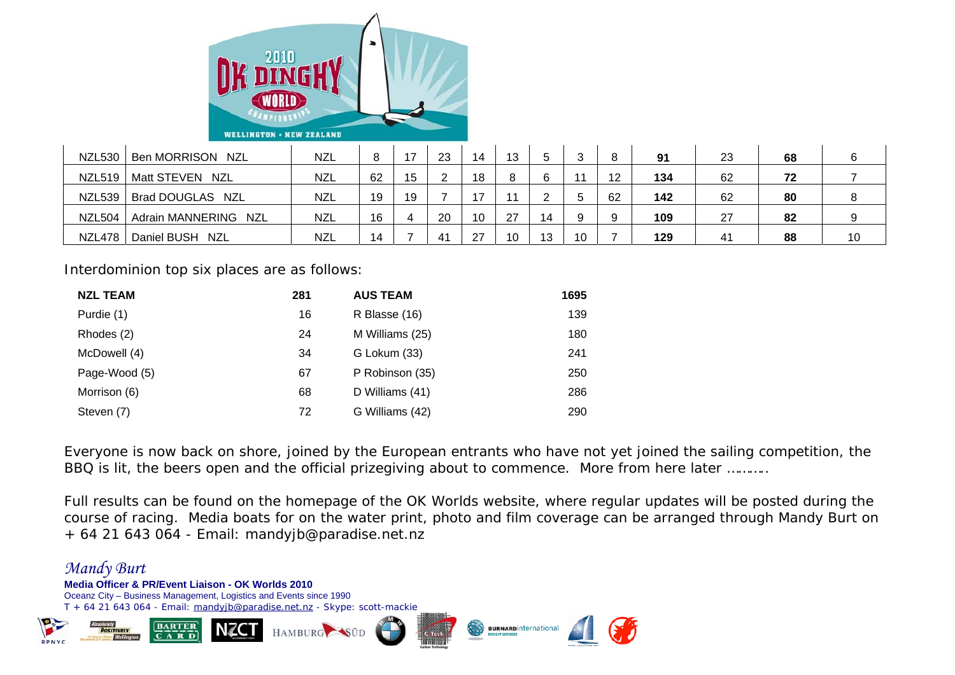

| <b>NZL530</b> | Ben MORRISON NZL               | <b>NZL</b> | 8  | 17 | 23 | 14 | 13      |    |    | 8  | 91  | 23 | 68 | 6  |
|---------------|--------------------------------|------------|----|----|----|----|---------|----|----|----|-----|----|----|----|
| NZL519        | Matt STEVEN NZL                | <b>NZL</b> | 62 | 15 |    | 18 | $\circ$ |    |    | 12 | 134 | 62 | 72 |    |
| <b>NZL539</b> | Brad DOUGLAS NZL               | <b>NZL</b> | 19 | 19 |    |    |         |    |    | 62 | 142 | 62 | 80 | 8  |
| NZL504        | Adrain MANNERING<br><b>NZL</b> | <b>NZL</b> | 16 |    | 20 | 10 | 27      | 14 |    | 9  | 109 | 27 | 82 | 9  |
| <b>NZL478</b> | Daniel BUSH NZL                | <b>NZL</b> | 14 |    | 41 | 27 | 10      | 13 | 10 |    | 129 | 41 | 88 | 10 |

Interdominion top six places are as follows:

| <b>NZL TEAM</b> | 281 | <b>AUS TEAM</b> | 1695 |
|-----------------|-----|-----------------|------|
| Purdie (1)      | 16  | R Blasse (16)   | 139  |
| Rhodes (2)      | 24  | M Williams (25) | 180  |
| McDowell (4)    | 34  | G Lokum (33)    | 241  |
| Page-Wood (5)   | 67  | P Robinson (35) | 250  |
| Morrison (6)    | 68  | D Williams (41) | 286  |
| Steven (7)      | 72  | G Williams (42) | 290  |

Everyone is now back on shore, joined by the European entrants who have not yet joined the sailing competition, the BBQ is lit, the beers open and the official prizegiving about to commence. More from here later ..........

Full results can be found on the homepage of the OK Worlds website, where regular updates will be posted during the course of racing. Media boats for on the water print, photo and film coverage can be arranged through Mandy Burt on + 64 21 643 064 - Email: mandyjb@paradise.net.nz